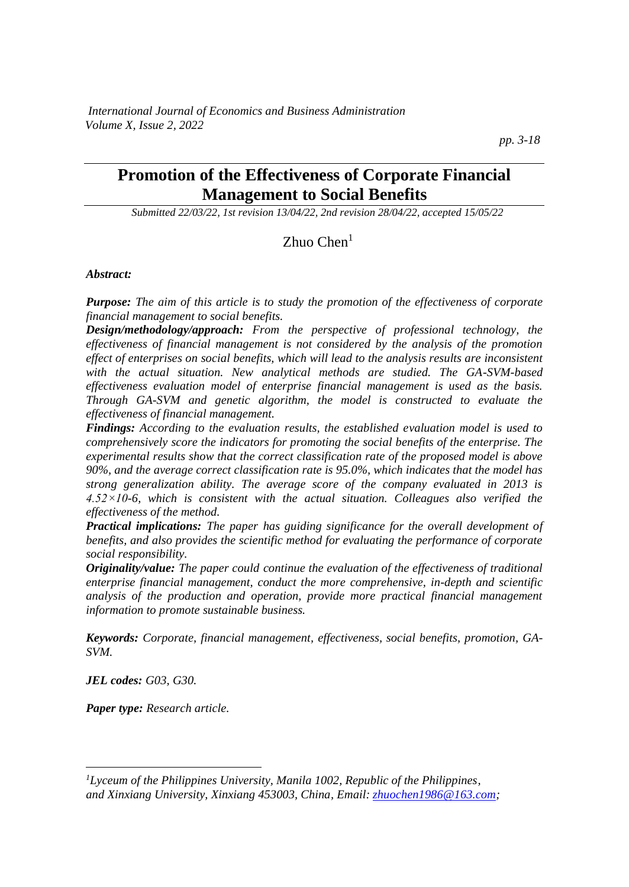# **Promotion of the Effectiveness of Corporate Financial Management to Social Benefits**

*Submitted 22/03/22, 1st revision 13/04/22, 2nd revision 28/04/22, accepted 15/05/22*

Zhuo Chen<sup>1</sup>

#### *Abstract:*

*Purpose: The aim of this article is to study the promotion of the effectiveness of corporate financial management to social benefits.*

*Design/methodology/approach: From the perspective of professional technology, the effectiveness of financial management is not considered by the analysis of the promotion effect of enterprises on social benefits, which will lead to the analysis results are inconsistent with the actual situation. New analytical methods are studied. The GA-SVM-based effectiveness evaluation model of enterprise financial management is used as the basis. Through GA-SVM and genetic algorithm, the model is constructed to evaluate the effectiveness of financial management.* 

*Findings: According to the evaluation results, the established evaluation model is used to comprehensively score the indicators for promoting the social benefits of the enterprise. The experimental results show that the correct classification rate of the proposed model is above 90%, and the average correct classification rate is 95.0%, which indicates that the model has strong generalization ability. The average score of the company evaluated in 2013 is 4.52×10-6, which is consistent with the actual situation. Colleagues also verified the effectiveness of the method.*

*Practical implications: The paper has guiding significance for the overall development of benefits, and also provides the scientific method for evaluating the performance of corporate social responsibility.*

*Originality/value: The paper could continue the evaluation of the effectiveness of traditional enterprise financial management, conduct the more comprehensive, in-depth and scientific analysis of the production and operation, provide more practical financial management information to promote sustainable business.*

*Keywords: Corporate, financial management, effectiveness, social benefits, promotion, GA-SVM.*

*JEL codes: G03, G30.*

*Paper type: Research article.*

*<sup>1</sup>Lyceum of the Philippines University, Manila 1002, Republic of the Philippines, and Xinxiang University, Xinxiang 453003, China, Email: [zhuochen1986@163.com;](mailto:zhuochen1986@163.com)*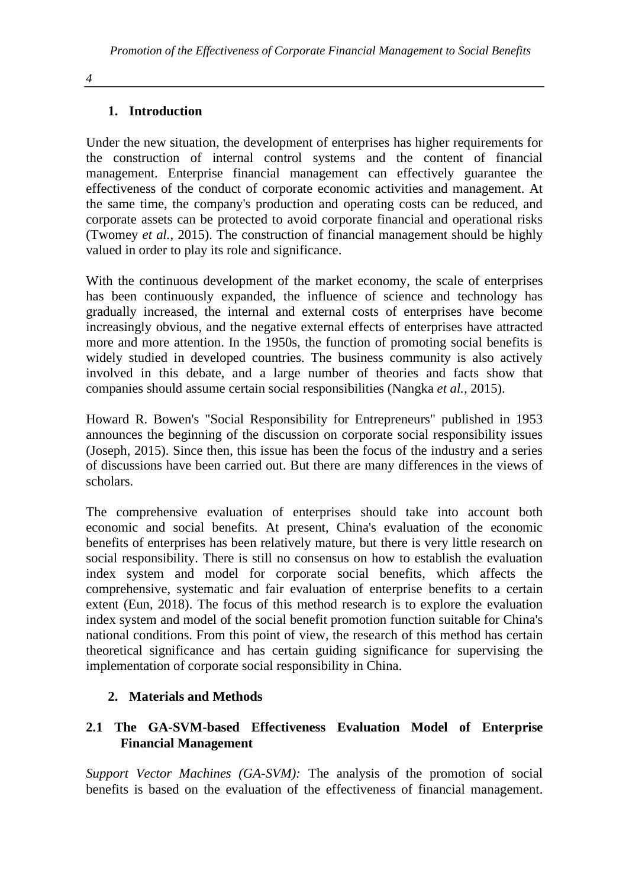## **1. Introduction**

Under the new situation, the development of enterprises has higher requirements for the construction of internal control systems and the content of financial management. Enterprise financial management can effectively guarantee the effectiveness of the conduct of corporate economic activities and management. At the same time, the company's production and operating costs can be reduced, and corporate assets can be protected to avoid corporate financial and operational risks (Twomey *et al.,* 2015). The construction of financial management should be highly valued in order to play its role and significance.

With the continuous development of the market economy, the scale of enterprises has been continuously expanded, the influence of science and technology has gradually increased, the internal and external costs of enterprises have become increasingly obvious, and the negative external effects of enterprises have attracted more and more attention. In the 1950s, the function of promoting social benefits is widely studied in developed countries. The business community is also actively involved in this debate, and a large number of theories and facts show that companies should assume certain social responsibilities (Nangka *et al.,* 2015).

Howard R. Bowen's "Social Responsibility for Entrepreneurs" published in 1953 announces the beginning of the discussion on corporate social responsibility issues (Joseph, 2015). Since then, this issue has been the focus of the industry and a series of discussions have been carried out. But there are many differences in the views of scholars.

The comprehensive evaluation of enterprises should take into account both economic and social benefits. At present, China's evaluation of the economic benefits of enterprises has been relatively mature, but there is very little research on social responsibility. There is still no consensus on how to establish the evaluation index system and model for corporate social benefits, which affects the comprehensive, systematic and fair evaluation of enterprise benefits to a certain extent (Eun, 2018). The focus of this method research is to explore the evaluation index system and model of the social benefit promotion function suitable for China's national conditions. From this point of view, the research of this method has certain theoretical significance and has certain guiding significance for supervising the implementation of corporate social responsibility in China.

### **2. Materials and Methods**

## **2.1 The GA-SVM-based Effectiveness Evaluation Model of Enterprise Financial Management**

*Support Vector Machines (GA-SVM):* The analysis of the promotion of social benefits is based on the evaluation of the effectiveness of financial management.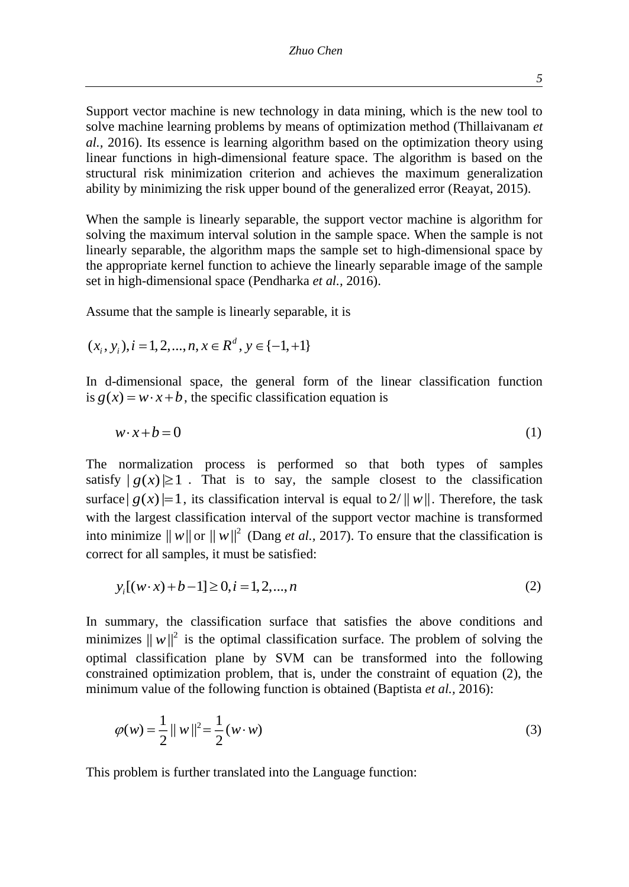Support vector machine is new technology in data mining, which is the new tool to solve machine learning problems by means of optimization method (Thillaivanam *et al.,* 2016). Its essence is learning algorithm based on the optimization theory using linear functions in high-dimensional feature space. The algorithm is based on the structural risk minimization criterion and achieves the maximum generalization ability by minimizing the risk upper bound of the generalized error (Reayat, 2015).

When the sample is linearly separable, the support vector machine is algorithm for solving the maximum interval solution in the sample space. When the sample is not linearly separable, the algorithm maps the sample set to high-dimensional space by the appropriate kernel function to achieve the linearly separable image of the sample set in high-dimensional space (Pendharka *et al.,* 2016).

Assume that the sample is linearly separable, it is

$$
(x_i, y_i), i = 1, 2, ..., n, x \in R^d, y \in \{-1, +1\}
$$

In d-dimensional space, the general form of the linear classification function is  $g(x) = w \cdot x + b$ , the specific classification equation is

$$
w \cdot x + b = 0 \tag{1}
$$

The normalization process is performed so that both types of samples satisfy  $|g(x)| \ge 1$ . That is to say, the sample closest to the classification surface  $|g(x)|=1$ , its classification interval is equal to  $2/\|w\|$ . Therefore, the task with the largest classification interval of the support vector machine is transformed into minimize  $||w||$  or  $||w||^2$  (Dang *et al.*, 2017). To ensure that the classification is correct for all samples, it must be satisfied:

$$
y_i[(w \cdot x) + b - 1] \ge 0, i = 1, 2, ..., n
$$
 (2)

In summary, the classification surface that satisfies the above conditions and minimizes  $||w||^2$  is the optimal classification surface. The problem of solving the optimal classification plane by SVM can be transformed into the following constrained optimization problem, that is, under the constraint of equation (2), the minimum value of the following function is obtained (Baptista *et al.,* 2016):

$$
\varphi(w) = \frac{1}{2} ||w||^2 = \frac{1}{2}(w \cdot w)
$$
\n(3)

This problem is further translated into the Language function: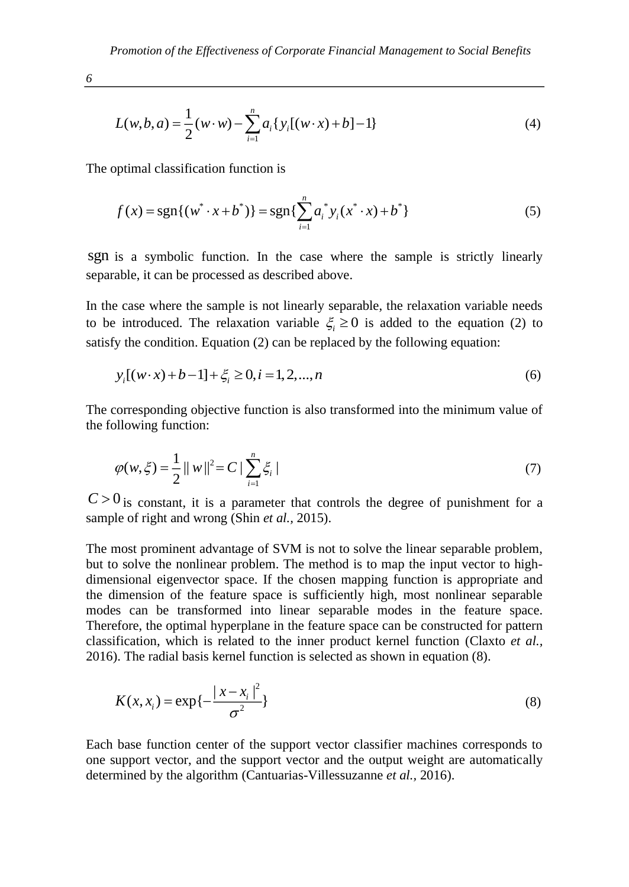$$
L(w, b, a) = \frac{1}{2}(w \cdot w) - \sum_{i=1}^{n} a_i \{y_i[(w \cdot x) + b] - 1\}
$$
 (4)

The optimal classification function is

$$
f(x) = \operatorname{sgn}\{(w^* \cdot x + b^*)\} = \operatorname{sgn}\{\sum_{i=1}^n a_i^* y_i(x^* \cdot x) + b^*\}
$$
 (5)

sgn is a symbolic function. In the case where the sample is strictly linearly separable, it can be processed as described above.

In the case where the sample is not linearly separable, the relaxation variable needs to be introduced. The relaxation variable  $\xi$   $\geq$  0 is added to the equation (2) to satisfy the condition. Equation (2) can be replaced by the following equation:

$$
y_i[(w \cdot x) + b - 1] + \xi_i \ge 0, i = 1, 2, ..., n
$$
\n(6)

The corresponding objective function is also transformed into the minimum value of the following function:

$$
\varphi(w,\xi) = \frac{1}{2} ||w||^2 = C \left| \sum_{i=1}^n \xi_i \right| \tag{7}
$$

 $C > 0$  is constant, it is a parameter that controls the degree of punishment for a sample of right and wrong (Shin *et al.,* 2015).

The most prominent advantage of SVM is not to solve the linear separable problem, but to solve the nonlinear problem. The method is to map the input vector to highdimensional eigenvector space. If the chosen mapping function is appropriate and the dimension of the feature space is sufficiently high, most nonlinear separable modes can be transformed into linear separable modes in the feature space. Therefore, the optimal hyperplane in the feature space can be constructed for pattern classification, which is related to the inner product kernel function (Claxto *et al.,* 2016). The radial basis kernel function is selected as shown in equation (8).

$$
K(x, x_i) = \exp\{-\frac{|x - x_i|^2}{\sigma^2}\}\tag{8}
$$

Each base function center of the support vector classifier machines corresponds to one support vector, and the support vector and the output weight are automatically determined by the algorithm (Cantuarias-Villessuzanne *et al.,* 2016).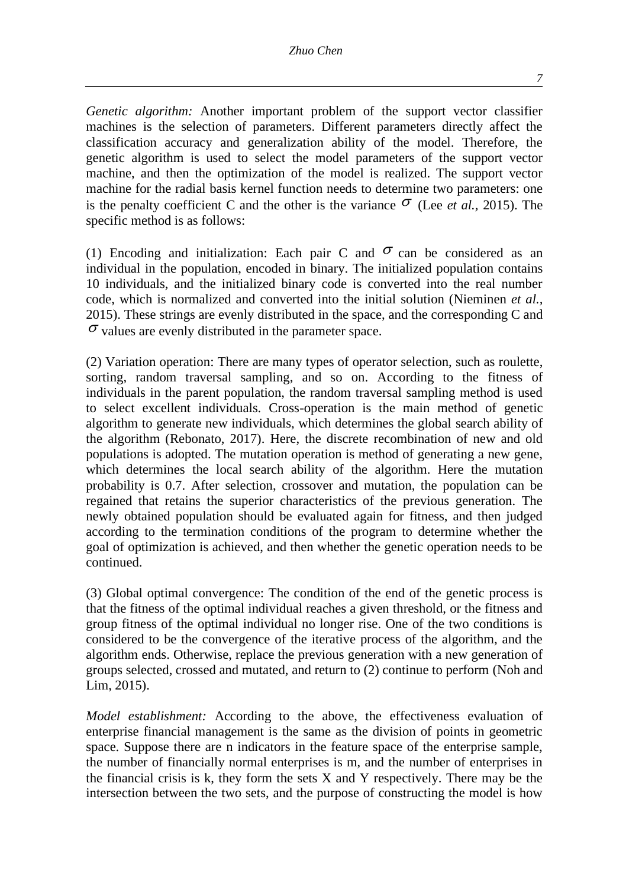*Genetic algorithm:* Another important problem of the support vector classifier machines is the selection of parameters. Different parameters directly affect the classification accuracy and generalization ability of the model. Therefore, the genetic algorithm is used to select the model parameters of the support vector machine, and then the optimization of the model is realized. The support vector machine for the radial basis kernel function needs to determine two parameters: one is the penalty coefficient C and the other is the variance  $\sigma$  (Lee *et al.,* 2015). The specific method is as follows:

(1) Encoding and initialization: Each pair C and  $\sigma$  can be considered as an individual in the population, encoded in binary. The initialized population contains 10 individuals, and the initialized binary code is converted into the real number code, which is normalized and converted into the initial solution (Nieminen *et al.,* 2015). These strings are evenly distributed in the space, and the corresponding C and  $\sigma$  values are evenly distributed in the parameter space.

(2) Variation operation: There are many types of operator selection, such as roulette, sorting, random traversal sampling, and so on. According to the fitness of individuals in the parent population, the random traversal sampling method is used to select excellent individuals. Cross-operation is the main method of genetic algorithm to generate new individuals, which determines the global search ability of the algorithm (Rebonato, 2017). Here, the discrete recombination of new and old populations is adopted. The mutation operation is method of generating a new gene, which determines the local search ability of the algorithm. Here the mutation probability is 0.7. After selection, crossover and mutation, the population can be regained that retains the superior characteristics of the previous generation. The newly obtained population should be evaluated again for fitness, and then judged according to the termination conditions of the program to determine whether the goal of optimization is achieved, and then whether the genetic operation needs to be continued.

(3) Global optimal convergence: The condition of the end of the genetic process is that the fitness of the optimal individual reaches a given threshold, or the fitness and group fitness of the optimal individual no longer rise. One of the two conditions is considered to be the convergence of the iterative process of the algorithm, and the algorithm ends. Otherwise, replace the previous generation with a new generation of groups selected, crossed and mutated, and return to (2) continue to perform (Noh and Lim, 2015).

*Model establishment:* According to the above, the effectiveness evaluation of enterprise financial management is the same as the division of points in geometric space. Suppose there are n indicators in the feature space of the enterprise sample, the number of financially normal enterprises is m, and the number of enterprises in the financial crisis is  $k$ , they form the sets  $X$  and  $Y$  respectively. There may be the intersection between the two sets, and the purpose of constructing the model is how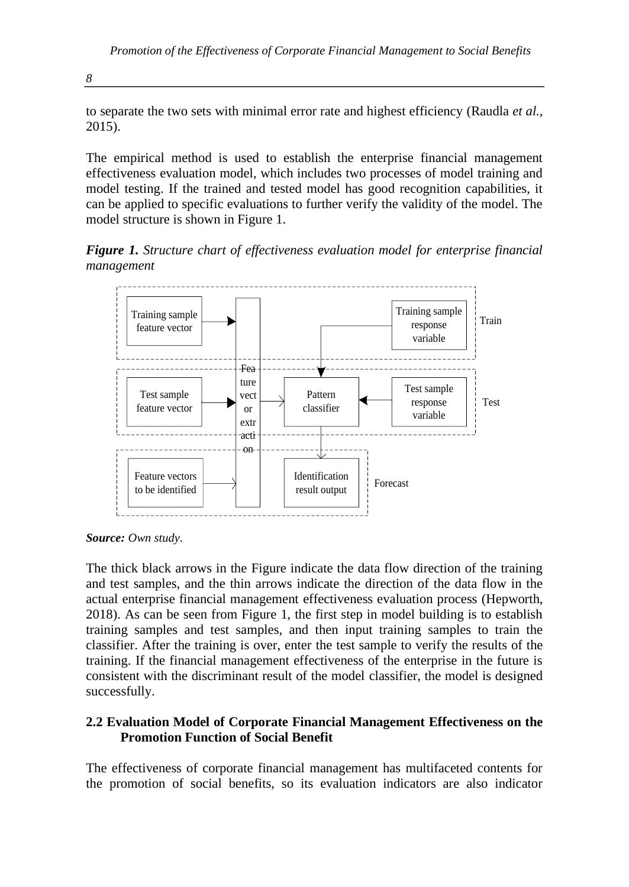to separate the two sets with minimal error rate and highest efficiency (Raudla *et al.,* 2015).

The empirical method is used to establish the enterprise financial management effectiveness evaluation model, which includes two processes of model training and model testing. If the trained and tested model has good recognition capabilities, it can be applied to specific evaluations to further verify the validity of the model. The model structure is shown in Figure 1.

*Figure 1. Structure chart of effectiveness evaluation model for enterprise financial management*



*Source: Own study.*

The thick black arrows in the Figure indicate the data flow direction of the training and test samples, and the thin arrows indicate the direction of the data flow in the actual enterprise financial management effectiveness evaluation process (Hepworth, 2018). As can be seen from Figure 1, the first step in model building is to establish training samples and test samples, and then input training samples to train the classifier. After the training is over, enter the test sample to verify the results of the training. If the financial management effectiveness of the enterprise in the future is consistent with the discriminant result of the model classifier, the model is designed successfully.

### **2.2 Evaluation Model of Corporate Financial Management Effectiveness on the Promotion Function of Social Benefit**

The effectiveness of corporate financial management has multifaceted contents for the promotion of social benefits, so its evaluation indicators are also indicator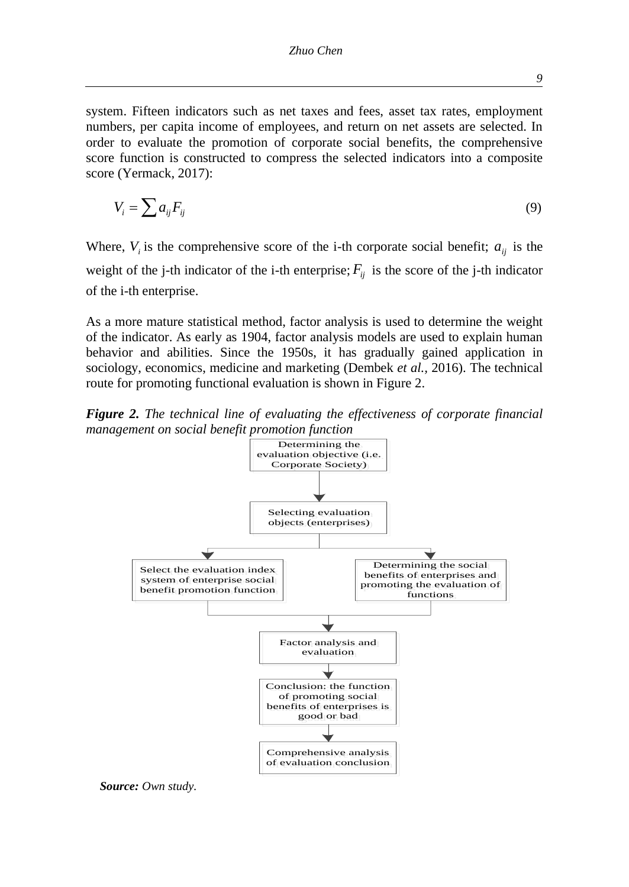system. Fifteen indicators such as net taxes and fees, asset tax rates, employment numbers, per capita income of employees, and return on net assets are selected. In order to evaluate the promotion of corporate social benefits, the comprehensive score function is constructed to compress the selected indicators into a composite score (Yermack, 2017):

$$
V_i = \sum a_{ij} F_{ij} \tag{9}
$$

Where,  $V_i$  is the comprehensive score of the i-th corporate social benefit;  $a_{ij}$  is the weight of the j-th indicator of the i-th enterprise;  $F_{ij}$  is the score of the j-th indicator of the i-th enterprise.

As a more mature statistical method, factor analysis is used to determine the weight of the indicator. As early as 1904, factor analysis models are used to explain human behavior and abilities. Since the 1950s, it has gradually gained application in sociology, economics, medicine and marketing (Dembek *et al.,* 2016). The technical route for promoting functional evaluation is shown in Figure 2.

*Figure 2. The technical line of evaluating the effectiveness of corporate financial management on social benefit promotion function*



*Source: Own study.*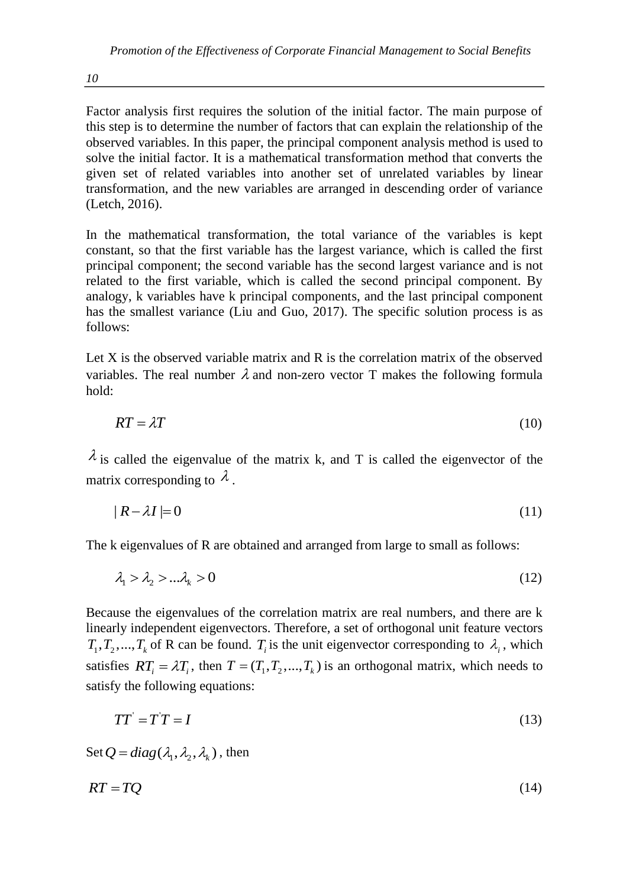Factor analysis first requires the solution of the initial factor. The main purpose of this step is to determine the number of factors that can explain the relationship of the observed variables. In this paper, the principal component analysis method is used to solve the initial factor. It is a mathematical transformation method that converts the given set of related variables into another set of unrelated variables by linear transformation, and the new variables are arranged in descending order of variance (Letch, 2016).

In the mathematical transformation, the total variance of the variables is kept constant, so that the first variable has the largest variance, which is called the first principal component; the second variable has the second largest variance and is not related to the first variable, which is called the second principal component. By analogy, k variables have k principal components, and the last principal component has the smallest variance (Liu and Guo, 2017). The specific solution process is as follows:

Let  $X$  is the observed variable matrix and  $R$  is the correlation matrix of the observed variables. The real number  $\lambda$  and non-zero vector T makes the following formula hold:

$$
RT = \lambda T \tag{10}
$$

 $\lambda$  is called the eigenvalue of the matrix k, and T is called the eigenvector of the matrix corresponding to  $\lambda$ .

$$
|R - \lambda I| = 0 \tag{11}
$$

The k eigenvalues of R are obtained and arranged from large to small as follows:

$$
\lambda_1 > \lambda_2 > \dots \lambda_k > 0 \tag{12}
$$

Because the eigenvalues of the correlation matrix are real numbers, and there are k linearly independent eigenvectors. Therefore, a set of orthogonal unit feature vectors  $T_1, T_2, ..., T_k$  of R can be found.  $T_i$  is the unit eigenvector corresponding to  $\lambda_i$ , which satisfies  $RT_i = \lambda T_i$ , then  $T = (T_1, T_2, ..., T_k)$  is an orthogonal matrix, which needs to satisfy the following equations:

$$
TT' = T'T = I \tag{13}
$$

Set  $Q = diag(\lambda_1, \lambda_2, \lambda_3)$ , then

$$
RT = TQ \tag{14}
$$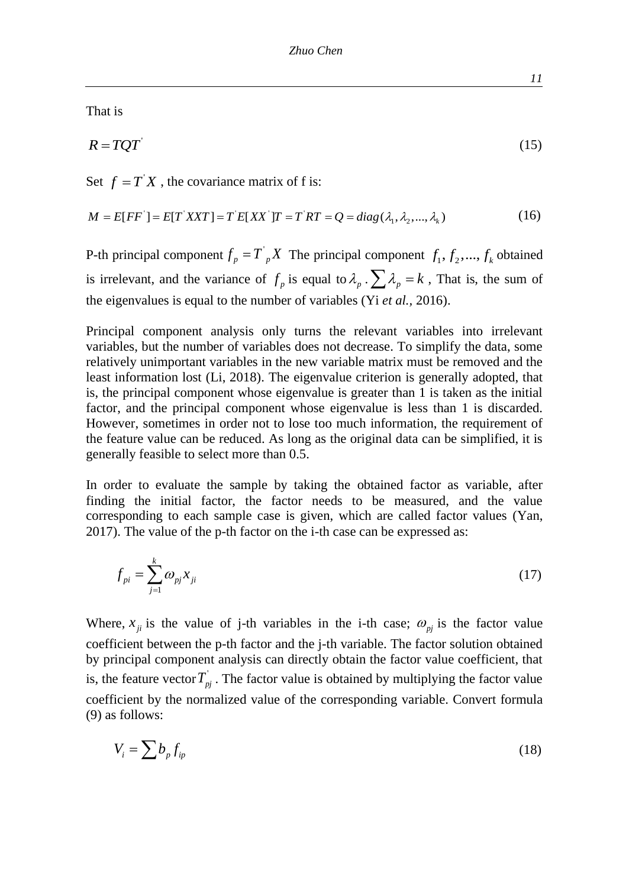That is

$$
R = TQT
$$
\n<sup>(15)</sup>

Set 
$$
f = T'X
$$
, the covariance matrix of f is:  
\n
$$
M = E[FF'] = E[T'XXT] = T'E[XX']T = T'RT = Q = diag(\lambda_1, \lambda_2, ..., \lambda_k)
$$
\n(16)

P-th principal component  $f_p = T_p X$  The principal component  $f_1, f_2, ..., f_k$  obtained is irrelevant, and the variance of  $f_p$  is equal to  $\lambda_p \cdot \sum \lambda_p = k$ , That is, the sum of the eigenvalues is equal to the number of variables (Yi *et al.,* 2016).

Principal component analysis only turns the relevant variables into irrelevant variables, but the number of variables does not decrease. To simplify the data, some relatively unimportant variables in the new variable matrix must be removed and the least information lost (Li, 2018). The eigenvalue criterion is generally adopted, that is, the principal component whose eigenvalue is greater than 1 is taken as the initial factor, and the principal component whose eigenvalue is less than 1 is discarded. However, sometimes in order not to lose too much information, the requirement of the feature value can be reduced. As long as the original data can be simplified, it is generally feasible to select more than 0.5.

In order to evaluate the sample by taking the obtained factor as variable, after finding the initial factor, the factor needs to be measured, and the value corresponding to each sample case is given, which are called factor values (Yan, 2017). The value of the p-th factor on the i-th case can be expressed as:

$$
f_{pi} = \sum_{j=1}^{k} \omega_{pi} x_{ji} \tag{17}
$$

Where,  $x_{ji}$  is the value of j-th variables in the i-th case;  $\omega_{pj}$  is the factor value coefficient between the p-th factor and the j-th variable. The factor solution obtained by principal component analysis can directly obtain the factor value coefficient, that is, the feature vector  $T_{pj}$ . The factor value is obtained by multiplying the factor value coefficient by the normalized value of the corresponding variable. Convert formula (9) as follows:

$$
V_i = \sum b_p f_{ip} \tag{18}
$$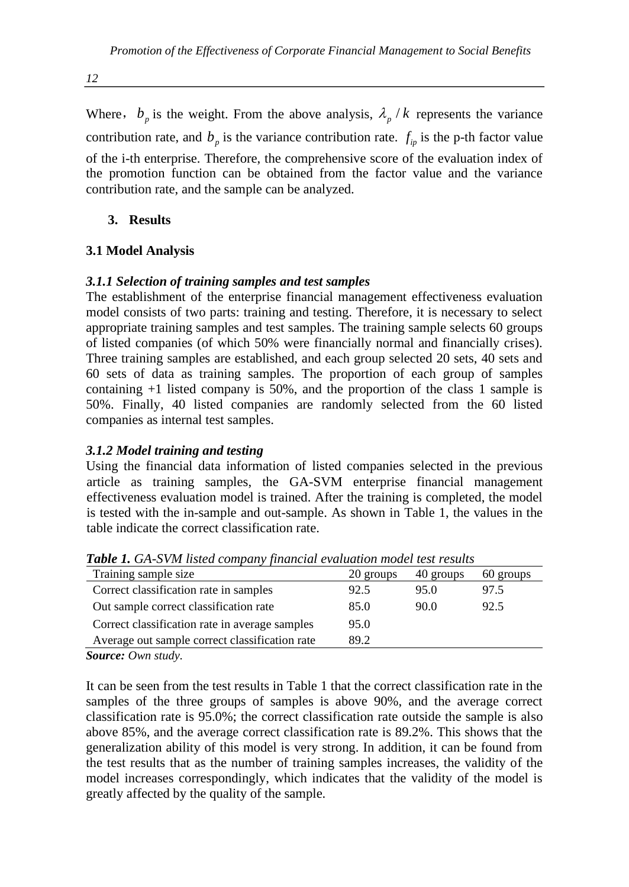Where,  $b_p$  is the weight. From the above analysis,  $\lambda_p / k$  represents the variance contribution rate, and  $b_p$  is the variance contribution rate.  $f_{ip}$  is the p-th factor value of the i-th enterprise. Therefore, the comprehensive score of the evaluation index of the promotion function can be obtained from the factor value and the variance contribution rate, and the sample can be analyzed.

# **3. Results**

# **3.1 Model Analysis**

## *3.1.1 Selection of training samples and test samples*

The establishment of the enterprise financial management effectiveness evaluation model consists of two parts: training and testing. Therefore, it is necessary to select appropriate training samples and test samples. The training sample selects 60 groups of listed companies (of which 50% were financially normal and financially crises). Three training samples are established, and each group selected 20 sets, 40 sets and 60 sets of data as training samples. The proportion of each group of samples containing +1 listed company is 50%, and the proportion of the class 1 sample is 50%. Finally, 40 listed companies are randomly selected from the 60 listed companies as internal test samples.

## *3.1.2 Model training and testing*

Using the financial data information of listed companies selected in the previous article as training samples, the GA-SVM enterprise financial management effectiveness evaluation model is trained. After the training is completed, the model is tested with the in-sample and out-sample. As shown in Table 1, the values in the table indicate the correct classification rate.

| Training sample size                                     | 20 groups | 40 groups | 60 groups |
|----------------------------------------------------------|-----------|-----------|-----------|
| Correct classification rate in samples                   | 92.5      | 95.0      | 97.5      |
| Out sample correct classification rate                   | 85.0      | 90.0      | 92.5      |
| Correct classification rate in average samples           | 95.0      |           |           |
| Average out sample correct classification rate           | 89.2      |           |           |
| $S_{\alpha\mu\nu\rho\alpha}, \Omega_{\nu\mu\alpha\beta}$ |           |           |           |

*Table 1. GA-SVM listed company financial evaluation model test results*

*Source: Own study.*

It can be seen from the test results in Table 1 that the correct classification rate in the samples of the three groups of samples is above 90%, and the average correct classification rate is 95.0%; the correct classification rate outside the sample is also above 85%, and the average correct classification rate is 89.2%. This shows that the generalization ability of this model is very strong. In addition, it can be found from the test results that as the number of training samples increases, the validity of the model increases correspondingly, which indicates that the validity of the model is greatly affected by the quality of the sample.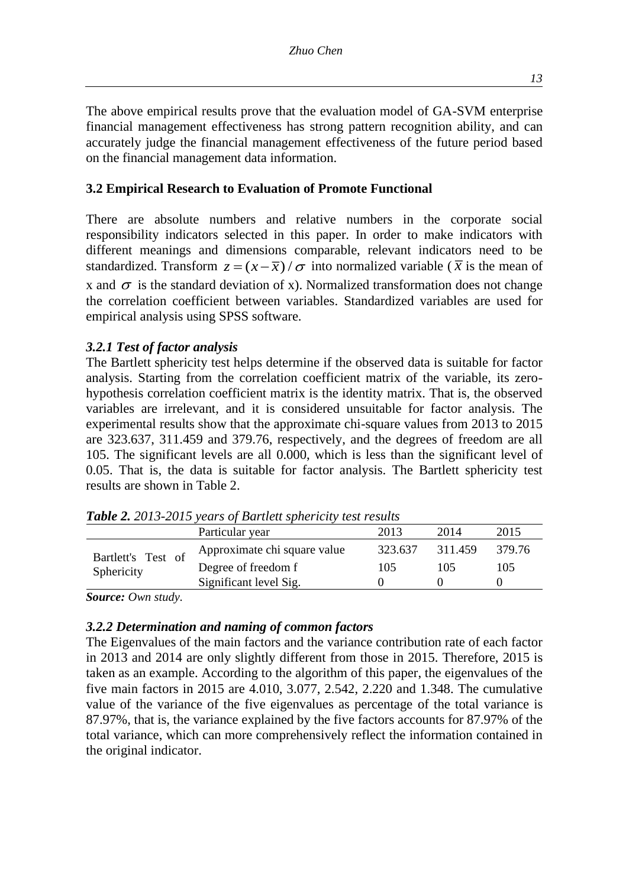The above empirical results prove that the evaluation model of GA-SVM enterprise financial management effectiveness has strong pattern recognition ability, and can accurately judge the financial management effectiveness of the future period based on the financial management data information.

## **3.2 Empirical Research to Evaluation of Promote Functional**

There are absolute numbers and relative numbers in the corporate social responsibility indicators selected in this paper. In order to make indicators with different meanings and dimensions comparable, relevant indicators need to be standardized. Transform  $z = (x - \overline{x}) / \sigma$  into normalized variable ( $\overline{x}$  is the mean of x and  $\sigma$  is the standard deviation of x). Normalized transformation does not change the correlation coefficient between variables. Standardized variables are used for empirical analysis using SPSS software.

### *3.2.1 Test of factor analysis*

The Bartlett sphericity test helps determine if the observed data is suitable for factor analysis. Starting from the correlation coefficient matrix of the variable, its zerohypothesis correlation coefficient matrix is the identity matrix. That is, the observed variables are irrelevant, and it is considered unsuitable for factor analysis. The experimental results show that the approximate chi-square values from 2013 to 2015 are 323.637, 311.459 and 379.76, respectively, and the degrees of freedom are all 105. The significant levels are all 0.000, which is less than the significant level of 0.05. That is, the data is suitable for factor analysis. The Bartlett sphericity test results are shown in Table 2.

|                    | Particular year              | 2013    | 2014    | 2015   |
|--------------------|------------------------------|---------|---------|--------|
| Bartlett's Test of | Approximate chi square value | 323.637 | 311.459 | 379.76 |
| Sphericity         | Degree of freedom f          | 105     | 105     | 105    |
|                    | Significant level Sig.       |         |         |        |

*Table 2. 2013-2015 years of Bartlett sphericity test results*

*Source: Own study.*

### *3.2.2 Determination and naming of common factors*

The Eigenvalues of the main factors and the variance contribution rate of each factor in 2013 and 2014 are only slightly different from those in 2015. Therefore, 2015 is taken as an example. According to the algorithm of this paper, the eigenvalues of the five main factors in 2015 are 4.010, 3.077, 2.542, 2.220 and 1.348. The cumulative value of the variance of the five eigenvalues as percentage of the total variance is 87.97%, that is, the variance explained by the five factors accounts for 87.97% of the total variance, which can more comprehensively reflect the information contained in the original indicator.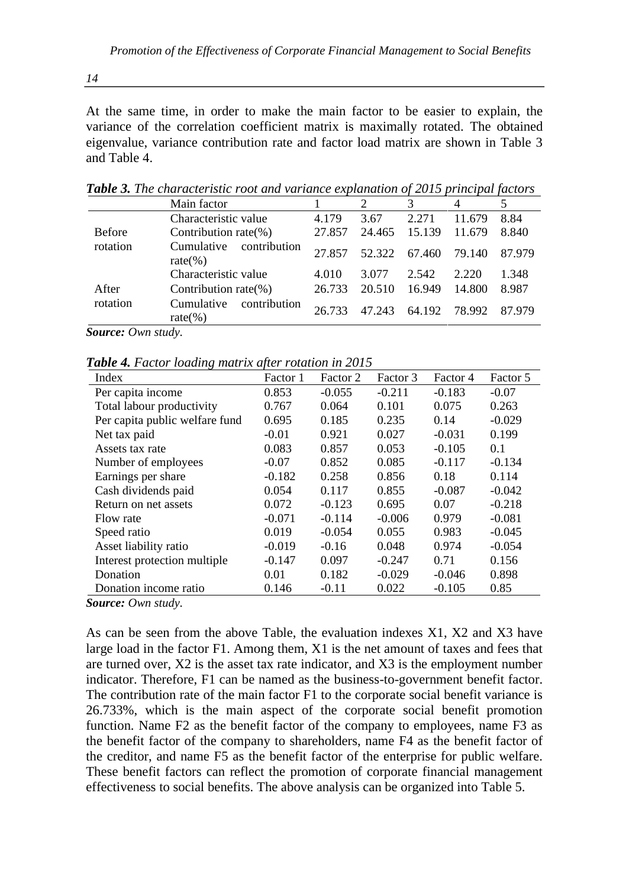At the same time, in order to make the main factor to be easier to explain, the variance of the correlation coefficient matrix is maximally rotated. The obtained eigenvalue, variance contribution rate and factor load matrix are shown in Table 3 and Table 4.

|               | Main factor                               |        |        |        |        |        |
|---------------|-------------------------------------------|--------|--------|--------|--------|--------|
|               | Characteristic value                      | 4.179  | 3.67   | 2.271  | 11.679 | 8.84   |
| <b>Before</b> | Contribution rate $(\%)$                  | 27.857 | 24.465 | 15.139 | 11.679 | 8.840  |
| rotation      | Cumulative<br>contribution<br>rate $(\%)$ | 27.857 | 52.322 | 67.460 | 79.140 | 87.979 |
|               | Characteristic value                      | 4.010  | 3.077  | 2.542  | 2.220  | 1.348  |
| After         | Contribution rate $(\%)$                  | 26.733 | 20.510 | 16.949 | 14.800 | 8.987  |
| rotation      | Cumulative<br>contribution<br>rate $(\%)$ | 26.733 | 47 243 | 64.192 | 78.992 | 87.979 |

*Table 3. The characteristic root and variance explanation of 2015 principal factors*

*Source: Own study.*

*Table 4. Factor loading matrix after rotation in 2015*

| Index                          | Factor 1 | Factor 2 | Factor 3 | Factor 4 | Factor 5 |
|--------------------------------|----------|----------|----------|----------|----------|
| Per capita income              | 0.853    | $-0.055$ | $-0.211$ | $-0.183$ | $-0.07$  |
| Total labour productivity      | 0.767    | 0.064    | 0.101    | 0.075    | 0.263    |
| Per capita public welfare fund | 0.695    | 0.185    | 0.235    | 0.14     | $-0.029$ |
| Net tax paid                   | $-0.01$  | 0.921    | 0.027    | $-0.031$ | 0.199    |
| Assets tax rate                | 0.083    | 0.857    | 0.053    | $-0.105$ | 0.1      |
| Number of employees            | $-0.07$  | 0.852    | 0.085    | $-0.117$ | $-0.134$ |
| Earnings per share             | $-0.182$ | 0.258    | 0.856    | 0.18     | 0.114    |
| Cash dividends paid            | 0.054    | 0.117    | 0.855    | $-0.087$ | $-0.042$ |
| Return on net assets           | 0.072    | $-0.123$ | 0.695    | 0.07     | $-0.218$ |
| Flow rate                      | $-0.071$ | $-0.114$ | $-0.006$ | 0.979    | $-0.081$ |
| Speed ratio                    | 0.019    | $-0.054$ | 0.055    | 0.983    | $-0.045$ |
| Asset liability ratio          | $-0.019$ | $-0.16$  | 0.048    | 0.974    | $-0.054$ |
| Interest protection multiple   | $-0.147$ | 0.097    | $-0.247$ | 0.71     | 0.156    |
| Donation                       | 0.01     | 0.182    | $-0.029$ | $-0.046$ | 0.898    |
| Donation income ratio          | 0.146    | $-0.11$  | 0.022    | $-0.105$ | 0.85     |

*Source: Own study.*

As can be seen from the above Table, the evaluation indexes X1, X2 and X3 have large load in the factor F1. Among them, X1 is the net amount of taxes and fees that are turned over, X2 is the asset tax rate indicator, and X3 is the employment number indicator. Therefore, F1 can be named as the business-to-government benefit factor. The contribution rate of the main factor F1 to the corporate social benefit variance is 26.733%, which is the main aspect of the corporate social benefit promotion function. Name F2 as the benefit factor of the company to employees, name F3 as the benefit factor of the company to shareholders, name F4 as the benefit factor of the creditor, and name F5 as the benefit factor of the enterprise for public welfare. These benefit factors can reflect the promotion of corporate financial management effectiveness to social benefits. The above analysis can be organized into Table 5.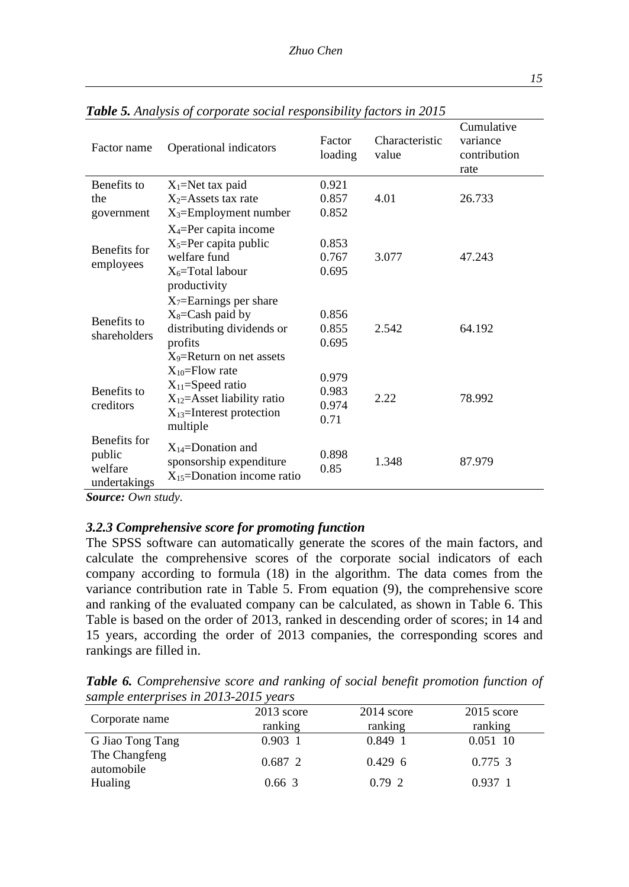| Factor name                                       | . <i>.</i><br>$\ddotsc$ . $\ddotsc$ is $\ddotsc$ if $\ddotsc$<br>Operational indicators                                           | Factor<br>loading               | Characteristic<br>value | Cumulative<br>variance<br>contribution<br>rate |
|---------------------------------------------------|-----------------------------------------------------------------------------------------------------------------------------------|---------------------------------|-------------------------|------------------------------------------------|
| Benefits to<br>the<br>government                  | $X_1$ =Net tax paid<br>$X_2$ =Assets tax rate<br>$X_3$ =Employment number                                                         | 0.921<br>0.857<br>0.852         | 4.01                    | 26.733                                         |
| Benefits for<br>employees                         | $X_4$ =Per capita income<br>$X_5 = Per$ capita public<br>welfare fund<br>$X_6$ =Total labour<br>productivity                      | 0.853<br>0.767<br>0.695         | 3.077                   | 47.243                                         |
| Benefits to<br>shareholders                       | $X_7$ =Earnings per share<br>$X_8 = Cash$ paid by<br>distributing dividends or<br>profits<br>X <sub>9</sub> =Return on net assets | 0.856<br>0.855<br>0.695         | 2.542                   | 64.192                                         |
| Benefits to<br>creditors                          | $X_{10}$ =Flow rate<br>$X_{11}$ =Speed ratio<br>$X_{12}$ =Asset liability ratio<br>$X_{13}$ =Interest protection<br>multiple      | 0.979<br>0.983<br>0.974<br>0.71 | 2.22                    | 78.992                                         |
| Benefits for<br>public<br>welfare<br>undertakings | $X_{14}$ =Donation and<br>sponsorship expenditure<br>$X_{15}$ =Donation income ratio                                              | 0.898<br>0.85                   | 1.348                   | 87.979                                         |

*Table 5. Analysis of corporate social responsibility factors in 2015*

*Source: Own study.*

### *3.2.3 Comprehensive score for promoting function*

The SPSS software can automatically generate the scores of the main factors, and calculate the comprehensive scores of the corporate social indicators of each company according to formula (18) in the algorithm. The data comes from the variance contribution rate in Table 5. From equation (9), the comprehensive score and ranking of the evaluated company can be calculated, as shown in Table 6. This Table is based on the order of 2013, ranked in descending order of scores; in 14 and 15 years, according the order of 2013 companies, the corresponding scores and rankings are filled in.

*Table 6. Comprehensive score and ranking of social benefit promotion function of sample enterprises in 2013-2015 years*

| $sum \nu \epsilon$ and $\mu \nu \epsilon$ is the $2010$ -2010 veurs |              |              |              |
|---------------------------------------------------------------------|--------------|--------------|--------------|
| Corporate name                                                      | $2013$ score | $2014$ score | $2015$ score |
|                                                                     | ranking      | ranking      | ranking      |
| G Jiao Tong Tang                                                    | $0.903 \; 1$ | $0.849$ 1    | 0.051 10     |
| The Changfeng<br>automobile                                         | 0.6872       | $0.429\;6$   | 0.775, 3     |
| <b>Hualing</b>                                                      | $0.66\,3$    | 0.792        | 0.9371       |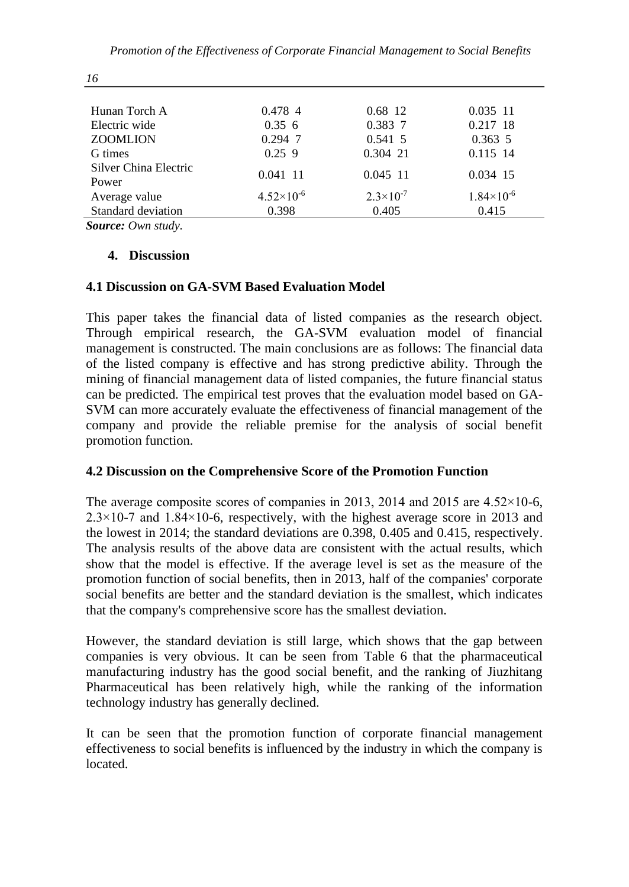| Hunan Torch A              | 0.478 4             | 0.68 12              | $0.035$ 11            |
|----------------------------|---------------------|----------------------|-----------------------|
| Electric wide              | 0.356               | 0.383 7              | 0.217 18              |
| <b>ZOOMLION</b>            | $0.294$ 7           | 0.541 5              | $0.363\ 5$            |
| G times                    | $0.25$ 9            | 0.304 21             | 0.115 14              |
| Silver China Electric      | 0.041 11            | 0.045 11             | 0.034 15              |
| Power                      |                     |                      |                       |
| Average value              | $4.52\times10^{-6}$ | $2.3 \times 10^{-7}$ | $1.84 \times 10^{-6}$ |
| Standard deviation         | 0.398               | 0.405                | 0.415                 |
| $\alpha$ $\alpha$ $\alpha$ |                     |                      |                       |

*Source: Own study.*

#### **4. Discussion**

### **4.1 Discussion on GA-SVM Based Evaluation Model**

This paper takes the financial data of listed companies as the research object. Through empirical research, the GA-SVM evaluation model of financial management is constructed. The main conclusions are as follows: The financial data of the listed company is effective and has strong predictive ability. Through the mining of financial management data of listed companies, the future financial status can be predicted. The empirical test proves that the evaluation model based on GA-SVM can more accurately evaluate the effectiveness of financial management of the company and provide the reliable premise for the analysis of social benefit promotion function.

### **4.2 Discussion on the Comprehensive Score of the Promotion Function**

The average composite scores of companies in 2013, 2014 and 2015 are  $4.52 \times 10^{-6}$ ,  $2.3 \times 10$ -7 and 1.84 $\times$ 10-6, respectively, with the highest average score in 2013 and the lowest in 2014; the standard deviations are 0.398, 0.405 and 0.415, respectively. The analysis results of the above data are consistent with the actual results, which show that the model is effective. If the average level is set as the measure of the promotion function of social benefits, then in 2013, half of the companies' corporate social benefits are better and the standard deviation is the smallest, which indicates that the company's comprehensive score has the smallest deviation.

However, the standard deviation is still large, which shows that the gap between companies is very obvious. It can be seen from Table 6 that the pharmaceutical manufacturing industry has the good social benefit, and the ranking of Jiuzhitang Pharmaceutical has been relatively high, while the ranking of the information technology industry has generally declined.

It can be seen that the promotion function of corporate financial management effectiveness to social benefits is influenced by the industry in which the company is located.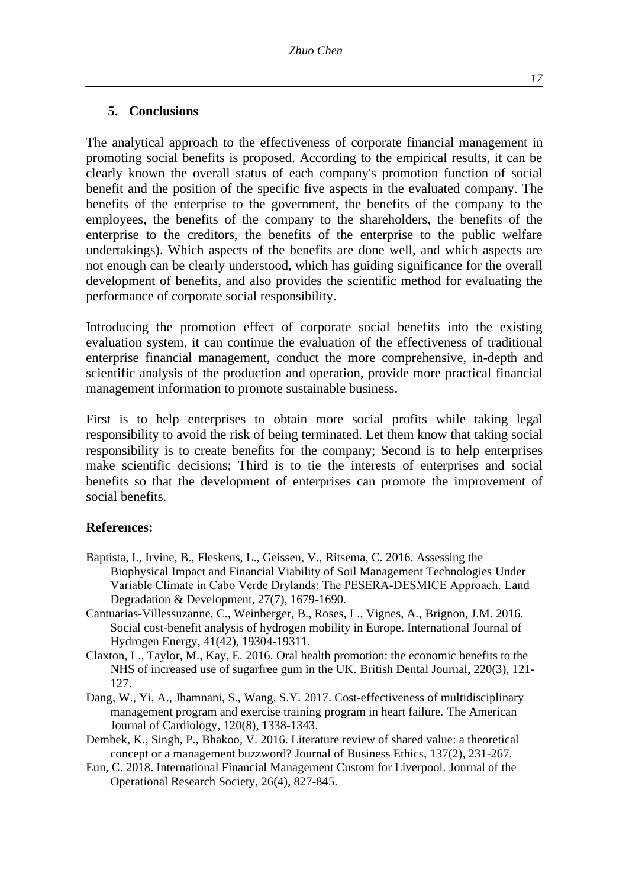#### **5. Conclusions**

The analytical approach to the effectiveness of corporate financial management in promoting social benefits is proposed. According to the empirical results, it can be clearly known the overall status of each company's promotion function of social benefit and the position of the specific five aspects in the evaluated company. The benefits of the enterprise to the government, the benefits of the company to the employees, the benefits of the company to the shareholders, the benefits of the enterprise to the creditors, the benefits of the enterprise to the public welfare undertakings). Which aspects of the benefits are done well, and which aspects are not enough can be clearly understood, which has guiding significance for the overall development of benefits, and also provides the scientific method for evaluating the performance of corporate social responsibility.

Introducing the promotion effect of corporate social benefits into the existing evaluation system, it can continue the evaluation of the effectiveness of traditional enterprise financial management, conduct the more comprehensive, in-depth and scientific analysis of the production and operation, provide more practical financial management information to promote sustainable business.

First is to help enterprises to obtain more social profits while taking legal responsibility to avoid the risk of being terminated. Let them know that taking social responsibility is to create benefits for the company; Second is to help enterprises make scientific decisions; Third is to tie the interests of enterprises and social benefits so that the development of enterprises can promote the improvement of social benefits.

#### **References:**

- Baptista, I., Irvine, B., Fleskens, L., Geissen, V., Ritsema, C. 2016. Assessing the Biophysical Impact and Financial Viability of Soil Management Technologies Under Variable Climate in Cabo Verde Drylands: The PESERA‐DESMICE Approach. Land Degradation & Development, 27(7), 1679-1690.
- Cantuarias-Villessuzanne, C., Weinberger, B., Roses, L., Vignes, A., Brignon, J.M. 2016. Social cost-benefit analysis of hydrogen mobility in Europe. International Journal of Hydrogen Energy, 41(42), 19304-19311.
- Claxton, L., Taylor, M., Kay, E. 2016. Oral health promotion: the economic benefits to the NHS of increased use of sugarfree gum in the UK. British Dental Journal, 220(3), 121- 127.
- Dang, W., Yi, A., Jhamnani, S., Wang, S.Y. 2017. Cost-effectiveness of multidisciplinary management program and exercise training program in heart failure. The American Journal of Cardiology, 120(8), 1338-1343.
- Dembek, K., Singh, P., Bhakoo, V. 2016. Literature review of shared value: a theoretical concept or a management buzzword? Journal of Business Ethics, 137(2), 231-267.
- Eun, C. 2018. International Financial Management Custom for Liverpool. Journal of the Operational Research Society, 26(4), 827-845.